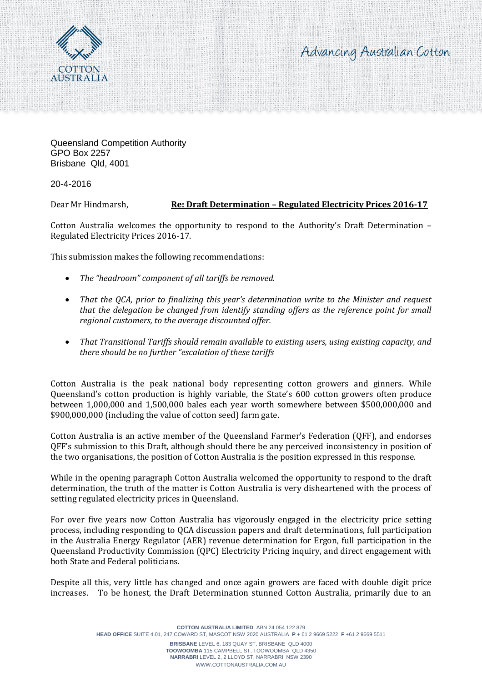Advancing Australian Cotton



Queensland Competition Authority GPO Box 2257 Brisbane Qld, 4001

20-4-2016

Dear Mr Hindmarsh, **Re: Draft Determination – Regulated Electricity Prices 2016-17**

Cotton Australia welcomes the opportunity to respond to the Authority's Draft Determination – Regulated Electricity Prices 2016-17.

This submission makes the following recommendations:

- *The "headroom" component of all tariffs be removed.*
- *That the QCA, prior to finalizing this year's determination write to the Minister and request that the delegation be changed from identify standing offers as the reference point for small regional customers, to the average discounted offer.*
- *That Transitional Tariffs should remain available to existing users, using existing capacity, and there should be no further "escalation of these tariffs*

Cotton Australia is the peak national body representing cotton growers and ginners. While Queensland's cotton production is highly variable, the State's 600 cotton growers often produce between 1,000,000 and 1,500,000 bales each year worth somewhere between \$500,000,000 and \$900,000,000 (including the value of cotton seed) farm gate.

Cotton Australia is an active member of the Queensland Farmer's Federation (QFF), and endorses QFF's submission to this Draft, although should there be any perceived inconsistency in position of the two organisations, the position of Cotton Australia is the position expressed in this response.

While in the opening paragraph Cotton Australia welcomed the opportunity to respond to the draft determination, the truth of the matter is Cotton Australia is very disheartened with the process of setting regulated electricity prices in Queensland.

For over five years now Cotton Australia has vigorously engaged in the electricity price setting process, including responding to QCA discussion papers and draft determinations, full participation in the Australia Energy Regulator (AER) revenue determination for Ergon, full participation in the Queensland Productivity Commission (QPC) Electricity Pricing inquiry, and direct engagement with both State and Federal politicians.

Despite all this, very little has changed and once again growers are faced with double digit price increases. To be honest, the Draft Determination stunned Cotton Australia, primarily due to an

> **COTTON AUSTRALIA LIMITED** ABN 24 054 122 879 **HEAD OFFICE** SUITE 4.01, 247 COWARD ST, MASCOT NSW 2020 AUSTRALIA **P** + 61 2 9669 5222 **F** +61 2 9669 5511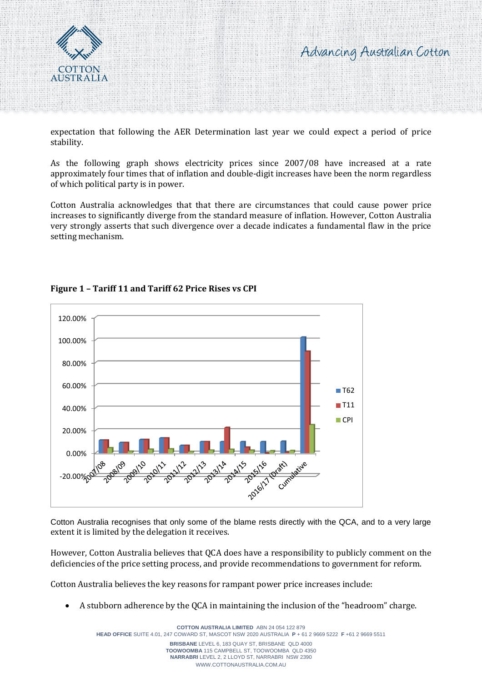



expectation that following the AER Determination last year we could expect a period of price stability.

As the following graph shows electricity prices since 2007/08 have increased at a rate approximately four times that of inflation and double-digit increases have been the norm regardless of which political party is in power.

Cotton Australia acknowledges that that there are circumstances that could cause power price increases to significantly diverge from the standard measure of inflation. However, Cotton Australia very strongly asserts that such divergence over a decade indicates a fundamental flaw in the price setting mechanism.



# **Figure 1 – Tariff 11 and Tariff 62 Price Rises vs CPI**

Cotton Australia recognises that only some of the blame rests directly with the QCA, and to a very large extent it is limited by the delegation it receives.

However, Cotton Australia believes that QCA does have a responsibility to publicly comment on the deficiencies of the price setting process, and provide recommendations to government for reform.

Cotton Australia believes the key reasons for rampant power price increases include:

A stubborn adherence by the QCA in maintaining the inclusion of the "headroom" charge.

**COTTON AUSTRALIA LIMITED** ABN 24 054 122 879 **HEAD OFFICE** SUITE 4.01, 247 COWARD ST, MASCOT NSW 2020 AUSTRALIA **P** + 61 2 9669 5222 **F** +61 2 9669 5511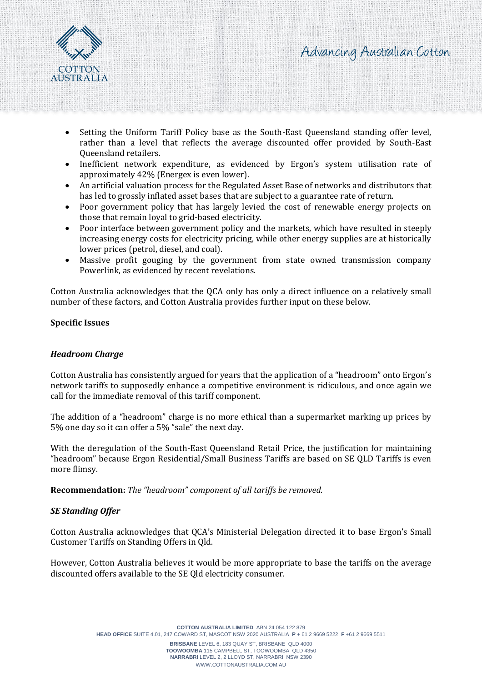



- Setting the Uniform Tariff Policy base as the South-East Queensland standing offer level, rather than a level that reflects the average discounted offer provided by South-East Queensland retailers.
- Inefficient network expenditure, as evidenced by Ergon's system utilisation rate of approximately 42% (Energex is even lower).
- An artificial valuation process for the Regulated Asset Base of networks and distributors that has led to grossly inflated asset bases that are subject to a guarantee rate of return.
- Poor government policy that has largely levied the cost of renewable energy projects on those that remain loyal to grid-based electricity.
- Poor interface between government policy and the markets, which have resulted in steeply increasing energy costs for electricity pricing, while other energy supplies are at historically lower prices (petrol, diesel, and coal).
- Massive profit gouging by the government from state owned transmission company Powerlink, as evidenced by recent revelations.

Cotton Australia acknowledges that the QCA only has only a direct influence on a relatively small number of these factors, and Cotton Australia provides further input on these below.

#### **Specific Issues**

## *Headroom Charge*

Cotton Australia has consistently argued for years that the application of a "headroom" onto Ergon's network tariffs to supposedly enhance a competitive environment is ridiculous, and once again we call for the immediate removal of this tariff component.

The addition of a "headroom" charge is no more ethical than a supermarket marking up prices by 5% one day so it can offer a 5% "sale" the next day.

With the deregulation of the South-East Queensland Retail Price, the justification for maintaining "headroom" because Ergon Residential/Small Business Tariffs are based on SE QLD Tariffs is even more flimsy.

**Recommendation:** *The "headroom" component of all tariffs be removed.*

## *SE Standing Offer*

Cotton Australia acknowledges that QCA's Ministerial Delegation directed it to base Ergon's Small Customer Tariffs on Standing Offers in Qld.

However, Cotton Australia believes it would be more appropriate to base the tariffs on the average discounted offers available to the SE Qld electricity consumer.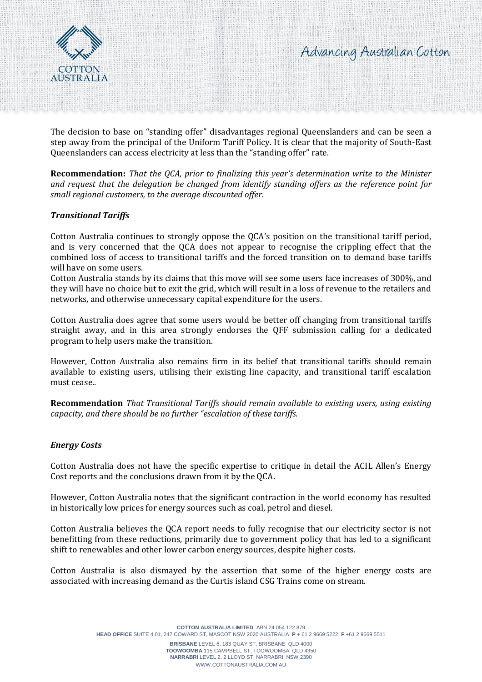



The decision to base on "standing offer" disadvantages regional Queenslanders and can be seen a step away from the principal of the Uniform Tariff Policy. It is clear that the majority of South-East Queenslanders can access electricity at less than the "standing offer" rate.

**Recommendation:** *That the QCA, prior to finalizing this year's determination write to the Minister and request that the delegation be changed from identify standing offers as the reference point for small regional customers, to the average discounted offer.*

## *Transitional Tariffs*

Cotton Australia continues to strongly oppose the QCA's position on the transitional tariff period, and is very concerned that the QCA does not appear to recognise the crippling effect that the combined loss of access to transitional tariffs and the forced transition on to demand base tariffs will have on some users.

Cotton Australia stands by its claims that this move will see some users face increases of 300%, and they will have no choice but to exit the grid, which will result in a loss of revenue to the retailers and networks, and otherwise unnecessary capital expenditure for the users.

Cotton Australia does agree that some users would be better off changing from transitional tariffs straight away, and in this area strongly endorses the QFF submission calling for a dedicated program to help users make the transition.

However, Cotton Australia also remains firm in its belief that transitional tariffs should remain available to existing users, utilising their existing line capacity, and transitional tariff escalation must cease..

**Recommendation** *That Transitional Tariffs should remain available to existing users, using existing capacity, and there should be no further "escalation of these tariffs.*

#### *Energy Costs*

Cotton Australia does not have the specific expertise to critique in detail the ACIL Allen's Energy Cost reports and the conclusions drawn from it by the QCA.

However, Cotton Australia notes that the significant contraction in the world economy has resulted in historically low prices for energy sources such as coal, petrol and diesel.

Cotton Australia believes the QCA report needs to fully recognise that our electricity sector is not benefitting from these reductions, primarily due to government policy that has led to a significant shift to renewables and other lower carbon energy sources, despite higher costs.

Cotton Australia is also dismayed by the assertion that some of the higher energy costs are associated with increasing demand as the Curtis island CSG Trains come on stream.